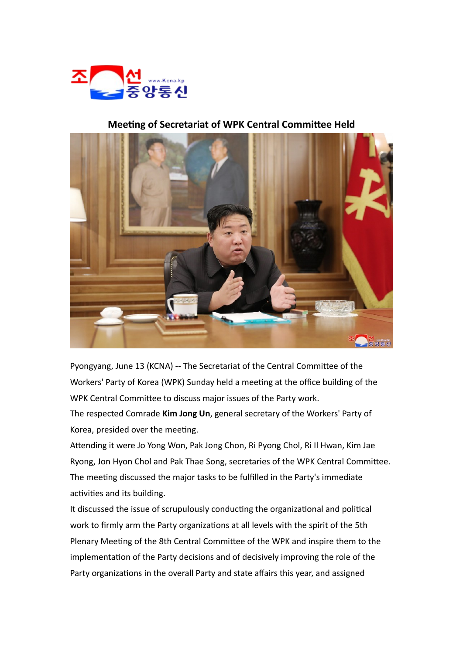

## **Meeting of Secretariat of WPK Central Committee Held**



Pyongyang, June 13 (KCNA) -- The Secretariat of the Central Committee of the Workers' Party of Korea (WPK) Sunday held a meeting at the office building of the WPK Central Committee to discuss major issues of the Party work.

The respected Comrade **Kim Jong Un**, general secretary of the Workers' Party of Korea, presided over the meeting.

Attending it were Jo Yong Won, Pak Jong Chon, Ri Pyong Chol, Ri Il Hwan, Kim Jae Ryong, Jon Hyon Chol and Pak Thae Song, secretaries of the WPK Central Committee. The meeting discussed the major tasks to be fulfilled in the Party's immediate activities and its building.

It discussed the issue of scrupulously conducting the organizational and political work to firmly arm the Party organizations at all levels with the spirit of the 5th Plenary Meeting of the 8th Central Committee of the WPK and inspire them to the implementation of the Party decisions and of decisively improving the role of the Party organizations in the overall Party and state affairs this year, and assigned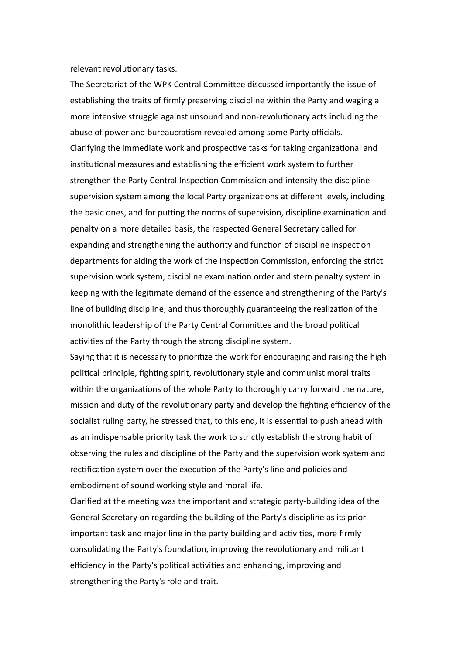relevant revolutionary tasks.

The Secretariat of the WPK Central Committee discussed importantly the issue of establishing the traits of firmly preserving discipline within the Party and waging a more intensive struggle against unsound and non-revolutionary acts including the abuse of power and bureaucratism revealed among some Party officials. Clarifying the immediate work and prospective tasks for taking organizational and institutional measures and establishing the efficient work system to further strengthen the Party Central Inspection Commission and intensify the discipline supervision system among the local Party organizations at different levels, including the basic ones, and for putting the norms of supervision, discipline examination and penalty on a more detailed basis, the respected General Secretary called for expanding and strengthening the authority and function of discipline inspection departments for aiding the work of the Inspection Commission, enforcing the strict supervision work system, discipline examination order and stern penalty system in keeping with the legitimate demand of the essence and strengthening of the Party's line of building discipline, and thus thoroughly guaranteeing the realization of the monolithic leadership of the Party Central Committee and the broad political activities of the Party through the strong discipline system.

Saying that it is necessary to prioritize the work for encouraging and raising the high political principle, fighting spirit, revolutionary style and communist moral traits within the organizations of the whole Party to thoroughly carry forward the nature, mission and duty of the revolutionary party and develop the fighting efficiency of the socialist ruling party, he stressed that, to this end, it is essential to push ahead with as an indispensable priority task the work to strictly establish the strong habit of observing the rules and discipline of the Party and the supervision work system and rectification system over the execution of the Party's line and policies and embodiment of sound working style and moral life.

Clarified at the meeting was the important and strategic party-building idea of the General Secretary on regarding the building of the Party's discipline as its prior important task and major line in the party building and activities, more firmly consolidating the Party's foundation, improving the revolutionary and militant efficiency in the Party's political activities and enhancing, improving and strengthening the Party's role and trait.